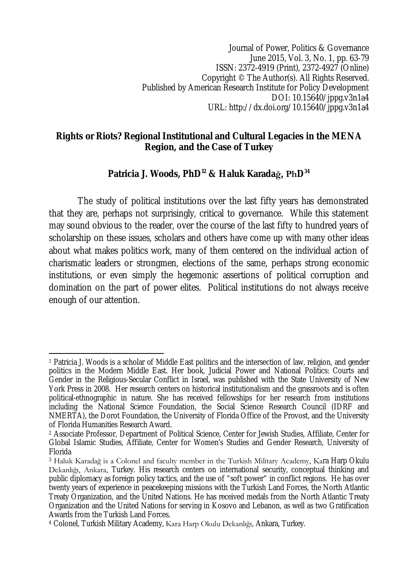Journal of Power, Politics & Governance June 2015, Vol. 3, No. 1, pp. 63-79 ISSN: 2372-4919 (Print), 2372-4927 (Online) Copyright © The Author(s). All Rights Reserved. Published by American Research Institute for Policy Development DOI: 10.15640/jppg.v3n1a4 URL: http://dx.doi.org/10.15640/jppg.v3n1a4

### **Rights or Riots? Regional Institutional and Cultural Legacies in the MENA Region, and the Case of Turkey**

# **Patricia J. Woods, PhD <sup>12</sup> & Haluk Karadağ, PhD 34**

The study of political institutions over the last fifty years has demonstrated that they are, perhaps not surprisingly, critical to governance. While this statement may sound obvious to the reader, over the course of the last fifty to hundred years of scholarship on these issues, scholars and others have come up with many other ideas about what makes politics work, many of them centered on the individual action of charismatic leaders or strongmen, elections of the same, perhaps strong economic institutions, or even simply the hegemonic assertions of political corruption and domination on the part of power elites. Political institutions do not always receive enough of our attention.

 $\overline{\phantom{a}}$ <sup>1</sup> Patricia J. Woods is a scholar of Middle East politics and the intersection of law, religion, and gender politics in the Modern Middle East. Her book, Judicial Power and National Politics: Courts and Gender in the Religious-Secular Conflict in Israel, was published with the State University of New York Press in 2008. Her research centers on historical institutionalism and the grassroots and is often political-ethnographic in nature. She has received fellowships for her research from institutions including the National Science Foundation, the Social Science Research Council (IDRF and NMERTA), the Dorot Foundation, the University of Florida Office of the Provost, and the University of Florida Humanities Research Award.

<sup>2</sup> Associate Professor, Department of Political Science, Center for Jewish Studies, Affiliate, Center for Global Islamic Studies, Affiliate, Center for Women's Studies and Gender Research, University of Florida

<sup>3</sup> Haluk Karadağ is a Colonel and faculty member in the Turkish Military Academy, Kara Harp Okulu Dekanlığı, Ankara, Turkey. His research centers on international security, conceptual thinking and public diplomacy as foreign policy tactics, and the use of "soft power" in conflict regions. He has over twenty years of experience in peacekeeping missions with the Turkish Land Forces, the North Atlantic Treaty Organization, and the United Nations. He has received medals from the North Atlantic Treaty Organization and the United Nations for serving in Kosovo and Lebanon, as well as two Gratification Awards from the Turkish Land Forces.

<sup>4</sup> Colonel, Turkish Military Academy, Kara Harp Okulu Dekanlığı, Ankara, Turkey.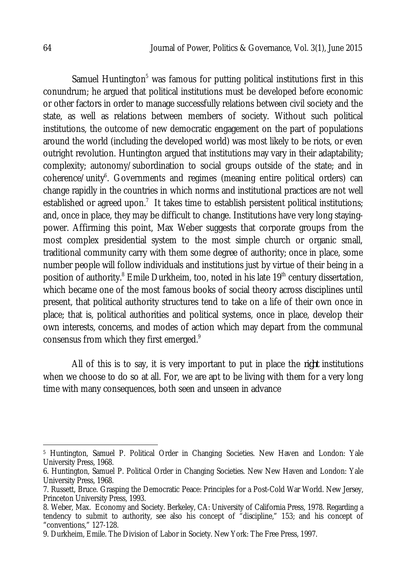Samuel Huntington $<sup>5</sup>$  was famous for putting political institutions first in this</sup> conundrum; he argued that political institutions must be developed before economic or other factors in order to manage successfully relations between civil society and the state, as well as relations between members of society. Without such political institutions, the outcome of new democratic engagement on the part of populations around the world (including the developed world) was most likely to be riots, or even outright revolution. Huntington argued that institutions may vary in their adaptability; complexity; autonomy/subordination to social groups outside of the state; and in coherence/unity<sup>6</sup>. Governments and regimes (meaning entire political orders) can change rapidly in the countries in which norms and institutional practices are not well established or agreed upon.<sup>7</sup> It takes time to establish persistent political institutions; and, once in place, they may be difficult to change. Institutions have very long stayingpower. Affirming this point, Max Weber suggests that corporate groups from the most complex presidential system to the most simple church or organic small, traditional community carry with them some degree of authority; once in place, some number people will follow individuals and institutions just by virtue of their being in a position of authority.<sup>8</sup> Emile Durkheim, too, noted in his late 19<sup>th</sup> century dissertation, which became one of the most famous books of social theory across disciplines until present, that political authority structures tend to take on a life of their own once in place; that is, political authorities and political systems, once in place, develop their own interests, concerns, and modes of action which may depart from the communal consensus from which they first emerged. $^{\circ}$ 

All of this is to say, it is very important to put in place the *right* institutions when we choose to do so at all. For, we are apt to be living with them for a very long time with many consequences, both seen and unseen in advance

 $\overline{a}$ 

<sup>5</sup> Huntington, Samuel P. Political Order in Changing Societies. New Haven and London: Yale University Press, 1968.

<sup>6.</sup> Huntington, Samuel P. Political Order in Changing Societies. New New Haven and London: Yale University Press, 1968.

<sup>7.</sup> Russett, Bruce. Grasping the Democratic Peace: Principles for a Post-Cold War World. New Jersey, Princeton University Press, 1993.

<sup>8.</sup> Weber, Max. Economy and Society. Berkeley, CA: University of California Press, 1978. Regarding a tendency to submit to authority, see also his concept of "discipline," 153; and his concept of "conventions," 127-128.

<sup>9.</sup> Durkheim, Emile. The Division of Labor in Society. New York: The Free Press, 1997.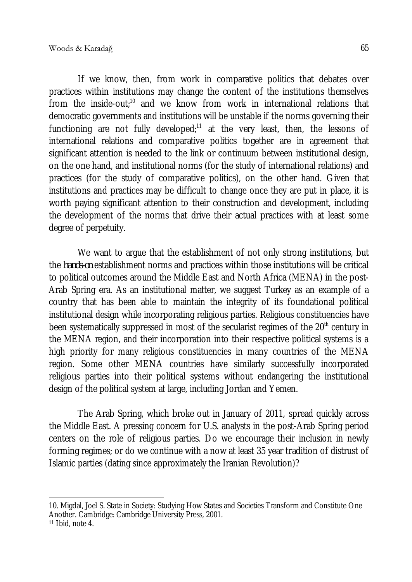If we know, then, from work in comparative politics that debates over practices within institutions may change the content of the institutions themselves from the inside-out;<sup>10</sup> and we know from work in international relations that democratic governments and institutions will be unstable if the norms governing their functioning are not fully developed; $11$  at the very least, then, the lessons of international relations and comparative politics together are in agreement that significant attention is needed to the link or continuum between institutional design, on the one hand, and institutional norms (for the study of international relations) and practices (for the study of comparative politics), on the other hand. Given that institutions and practices may be difficult to change once they are put in place, it is worth paying significant attention to their construction and development, including the development of the norms that drive their actual practices with at least some degree of perpetuity.

We want to argue that the establishment of not only strong institutions, but the *hands-on* establishment norms and practices within those institutions will be critical to political outcomes around the Middle East and North Africa (MENA) in the post-Arab Spring era. As an institutional matter, we suggest Turkey as an example of a country that has been able to maintain the integrity of its foundational political institutional design while incorporating religious parties. Religious constituencies have been systematically suppressed in most of the secularist regimes of the  $20<sup>th</sup>$  century in the MENA region, and their incorporation into their respective political systems is a high priority for many religious constituencies in many countries of the MENA region. Some other MENA countries have similarly successfully incorporated religious parties into their political systems without endangering the institutional design of the political system at large, including Jordan and Yemen.

The Arab Spring, which broke out in January of 2011, spread quickly across the Middle East. A pressing concern for U.S. analysts in the post-Arab Spring period centers on the role of religious parties. Do we encourage their inclusion in newly forming regimes; or do we continue with a now at least 35 year tradition of distrust of Islamic parties (dating since approximately the Iranian Revolution)?

 $\overline{\phantom{a}}$ 10. Migdal, Joel S. State in Society: Studying How States and Societies Transform and Constitute One Another. Cambridge: Cambridge University Press, 2001.

<sup>11</sup> Ibid, note 4.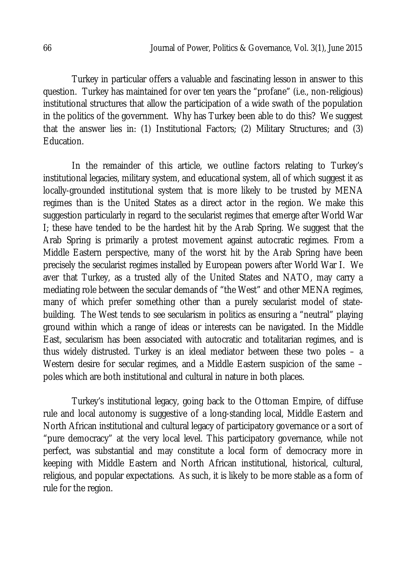Turkey in particular offers a valuable and fascinating lesson in answer to this question. Turkey has maintained for over ten years the "profane" (i.e., non-religious) institutional structures that allow the participation of a wide swath of the population in the politics of the government. Why has Turkey been able to do this? We suggest that the answer lies in: (1) Institutional Factors; (2) Military Structures; and (3) Education.

In the remainder of this article, we outline factors relating to Turkey's institutional legacies, military system, and educational system, all of which suggest it as locally-grounded institutional system that is more likely to be trusted by MENA regimes than is the United States as a direct actor in the region. We make this suggestion particularly in regard to the secularist regimes that emerge after World War I; these have tended to be the hardest hit by the Arab Spring. We suggest that the Arab Spring is primarily a protest movement against autocratic regimes. From a Middle Eastern perspective, many of the worst hit by the Arab Spring have been precisely the secularist regimes installed by European powers after World War I. We aver that Turkey, as a trusted ally of the United States and NATO, may carry a mediating role between the secular demands of "the West" and other MENA regimes, many of which prefer something other than a purely secularist model of statebuilding. The West tends to see secularism in politics as ensuring a "neutral" playing ground within which a range of ideas or interests can be navigated. In the Middle East, secularism has been associated with autocratic and totalitarian regimes, and is thus widely distrusted. Turkey is an ideal mediator between these two poles – a Western desire for secular regimes, and a Middle Eastern suspicion of the same poles which are both institutional and cultural in nature in both places.

Turkey's institutional legacy, going back to the Ottoman Empire, of diffuse rule and local autonomy is suggestive of a long-standing local, Middle Eastern and North African institutional and cultural legacy of participatory governance or a sort of "pure democracy" at the very local level. This participatory governance, while not perfect, was substantial and may constitute a local form of democracy more in keeping with Middle Eastern and North African institutional, historical, cultural, religious, and popular expectations. As such, it is likely to be more stable as a form of rule for the region.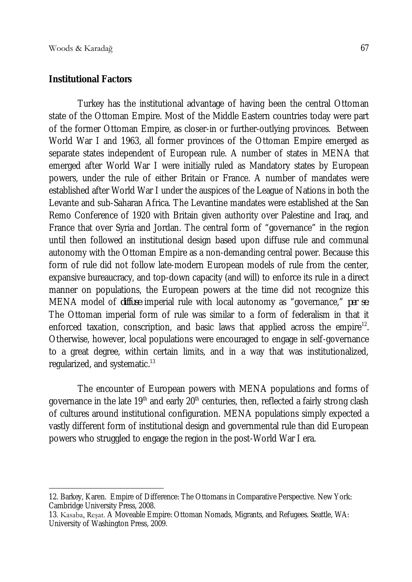$\overline{\phantom{a}}$ 

#### **Institutional Factors**

Turkey has the institutional advantage of having been the central Ottoman state of the Ottoman Empire. Most of the Middle Eastern countries today were part of the former Ottoman Empire, as closer-in or further-outlying provinces. Between World War I and 1963, all former provinces of the Ottoman Empire emerged as separate states independent of European rule. A number of states in MENA that emerged after World War I were initially ruled as Mandatory states by European powers, under the rule of either Britain or France. A number of mandates were established after World War I under the auspices of the League of Nations in both the Levante and sub-Saharan Africa. The Levantine mandates were established at the San Remo Conference of 1920 with Britain given authority over Palestine and Iraq, and France that over Syria and Jordan. The central form of "governance" in the region until then followed an institutional design based upon diffuse rule and communal autonomy with the Ottoman Empire as a non-demanding central power. Because this form of rule did not follow late-modern European models of rule from the center, expansive bureaucracy, and top-down capacity (and will) to enforce its rule in a direct manner on populations, the European powers at the time did not recognize this MENA model of *diffuse* imperial rule with local autonomy as "governance," *per se*. The Ottoman imperial form of rule was similar to a form of federalism in that it enforced taxation, conscription, and basic laws that applied across the empire $^{12}$ . Otherwise, however, local populations were encouraged to engage in self-governance to a great degree, within certain limits, and in a way that was institutionalized, regularized, and systematic.<sup>13</sup>

The encounter of European powers with MENA populations and forms of governance in the late  $19<sup>th</sup>$  and early  $20<sup>th</sup>$  centuries, then, reflected a fairly strong clash of cultures around institutional configuration. MENA populations simply expected a vastly different form of institutional design and governmental rule than did European powers who struggled to engage the region in the post-World War I era.

<sup>12.</sup> Barkey, Karen. Empire of Difference: The Ottomans in Comparative Perspective. New York: Cambridge University Press, 2008.

<sup>13</sup>. Kasaba, Reşat. A Moveable Empire: Ottoman Nomads, Migrants, and Refugees. Seattle, WA: University of Washington Press, 2009.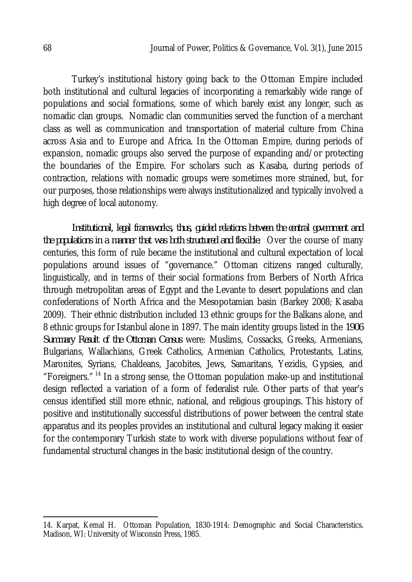Turkey's institutional history going back to the Ottoman Empire included both institutional and cultural legacies of incorporating a remarkably wide range of populations and social formations, some of which barely exist any longer, such as nomadic clan groups. Nomadic clan communities served the function of a merchant class as well as communication and transportation of material culture from China across Asia and to Europe and Africa. In the Ottoman Empire, during periods of expansion, nomadic groups also served the purpose of expanding and/or protecting the boundaries of the Empire. For scholars such as Kasaba, during periods of contraction, relations with nomadic groups were sometimes more strained, but, for our purposes, those relationships were always institutionalized and typically involved a high degree of local autonomy.

*Institutional, legal frameworks, thus, guided relations between the central government and the populations in a manner that was both structured and flexible*. Over the course of many centuries, this form of rule became the institutional and cultural expectation of local populations around issues of "governance." Ottoman citizens ranged culturally, linguistically, and in terms of their social formations from Berbers of North Africa through metropolitan areas of Egypt and the Levante to desert populations and clan confederations of North Africa and the Mesopotamian basin (Barkey 2008; Kasaba 2009). Their ethnic distribution included 13 ethnic groups for the Balkans alone, and 8 ethnic groups for Istanbul alone in 1897. The main identity groups listed in the *1906 Summary Result of the Ottoman Census* were: Muslims, Cossacks, Greeks, Armenians, Bulgarians, Wallachians, Greek Catholics, Armenian Catholics, Protestants, Latins, Maronites, Syrians, Chaldeans, Jacobites, Jews, Samaritans, Yezidis, Gypsies, and "Foreigners." <sup>14</sup> In a strong sense, the Ottoman population make-up and institutional design reflected a variation of a form of federalist rule. Other parts of that year's census identified still more ethnic, national, and religious groupings. This history of positive and institutionally successful distributions of power between the central state apparatus and its peoples provides an institutional and cultural legacy making it easier for the contemporary Turkish state to work with diverse populations without fear of fundamental structural changes in the basic institutional design of the country.

 $\overline{a}$ 

<sup>14.</sup> Karpat, Kemal H. Ottoman Population, 1830-1914: Demographic and Social Characteristics. Madison, WI: University of Wisconsin Press, 1985.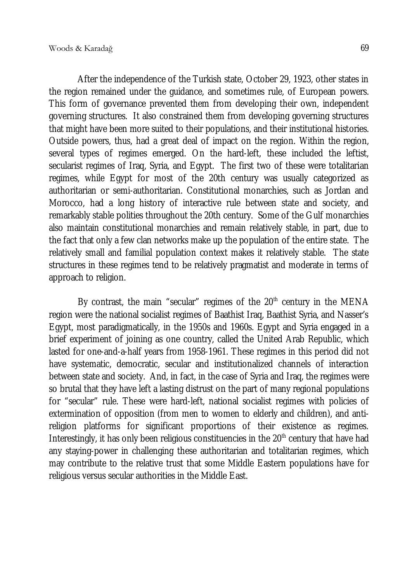After the independence of the Turkish state, October 29, 1923, other states in the region remained under the guidance, and sometimes rule, of European powers. This form of governance prevented them from developing their own, independent governing structures. It also constrained them from developing governing structures that might have been more suited to their populations, and their institutional histories. Outside powers, thus, had a great deal of impact on the region. Within the region, several types of regimes emerged. On the hard-left, these included the leftist, secularist regimes of Iraq, Syria, and Egypt. The first two of these were totalitarian regimes, while Egypt for most of the 20th century was usually categorized as authoritarian or semi-authoritarian. Constitutional monarchies, such as Jordan and Morocco, had a long history of interactive rule between state and society, and remarkably stable polities throughout the 20th century. Some of the Gulf monarchies also maintain constitutional monarchies and remain relatively stable, in part, due to the fact that only a few clan networks make up the population of the entire state. The relatively small and familial population context makes it relatively stable. The state structures in these regimes tend to be relatively pragmatist and moderate in terms of approach to religion.

By contrast, the main "secular" regimes of the  $20<sup>th</sup>$  century in the MENA region were the national socialist regimes of Baathist Iraq, Baathist Syria, and Nasser's Egypt, most paradigmatically, in the 1950s and 1960s. Egypt and Syria engaged in a brief experiment of joining as one country, called the United Arab Republic, which lasted for one-and-a-half years from 1958-1961. These regimes in this period did not have systematic, democratic, secular and institutionalized channels of interaction between state and society. And, in fact, in the case of Syria and Iraq, the regimes were so brutal that they have left a lasting distrust on the part of many regional populations for "secular" rule. These were hard-left, national socialist regimes with policies of extermination of opposition (from men to women to elderly and children), and antireligion platforms for significant proportions of their existence as regimes. Interestingly, it has only been religious constituencies in the  $20<sup>th</sup>$  century that have had any staying-power in challenging these authoritarian and totalitarian regimes, which may contribute to the relative trust that some Middle Eastern populations have for religious versus secular authorities in the Middle East.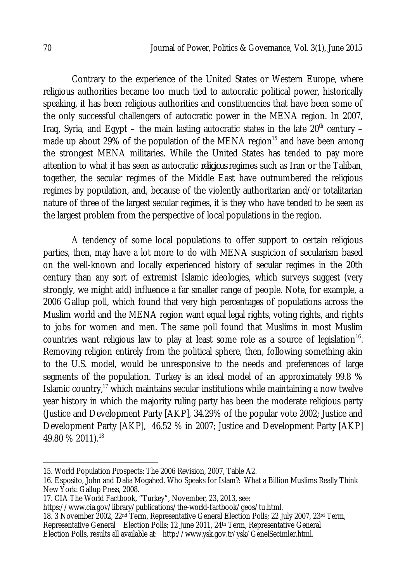Contrary to the experience of the United States or Western Europe, where religious authorities became too much tied to autocratic political power, historically speaking, it has been religious authorities and constituencies that have been some of the only successful challengers of autocratic power in the MENA region. In 2007, Irag, Syria, and Egypt – the main lasting autocratic states in the late  $20<sup>th</sup>$  century – made up about 29% of the population of the MENA region<sup>15</sup> and have been among the strongest MENA militaries. While the United States has tended to pay more attention to what it has seen as autocratic *religious* regimes such as Iran or the Taliban, together, the secular regimes of the Middle East have outnumbered the religious regimes by population, and, because of the violently authoritarian and/or totalitarian nature of three of the largest secular regimes, it is they who have tended to be seen as the largest problem from the perspective of local populations in the region.

A tendency of some local populations to offer support to certain religious parties, then, may have a lot more to do with MENA suspicion of secularism based on the well-known and locally experienced history of secular regimes in the 20th century than any sort of extremist Islamic ideologies, which surveys suggest (very strongly, we might add) influence a far smaller range of people. Note, for example, a 2006 Gallup poll, which found that very high percentages of populations across the Muslim world and the MENA region want equal legal rights, voting rights, and rights to jobs for women and men. The same poll found that Muslims in most Muslim countries want religious law to play at least some role as a source of legislation $^{16}$ . Removing religion entirely from the political sphere, then, following something akin to the U.S. model, would be unresponsive to the needs and preferences of large segments of the population. Turkey is an ideal model of an approximately 99.8 % Islamic country, $17$  which maintains secular institutions while maintaining a now twelve year history in which the majority ruling party has been the moderate religious party (Justice and Development Party [AKP], 34.29% of the popular vote 2002; Justice and Development Party [AKP], 46.52 % in 2007; Justice and Development Party [AKP] 49.80 % 2011).<sup>18</sup>

18. 3 November 2002, 22nd Term, Representative General Election Polls; 22 July 2007, 23rd Term, Representative General Election Polls; 12 June 2011, 24<sup>th</sup> Term, Representative General Election Polls, results all available at: http://www.ysk.gov.tr/ysk/GenelSecimler.html.

 $\overline{a}$ 15. World Population Prospects: The 2006 Revision, 2007, Table A2.

<sup>16.</sup> Esposito, John and Dalia Mogahed. Who Speaks for Islam?: What a Billion Muslims Really Think New York: Gallup Press, 2008.

<sup>17.</sup> CIA The World Factbook, "Turkey", November, 23, 2013, see:

https://www.cia.gov/library/publications/the-world-factbook/geos/tu.html.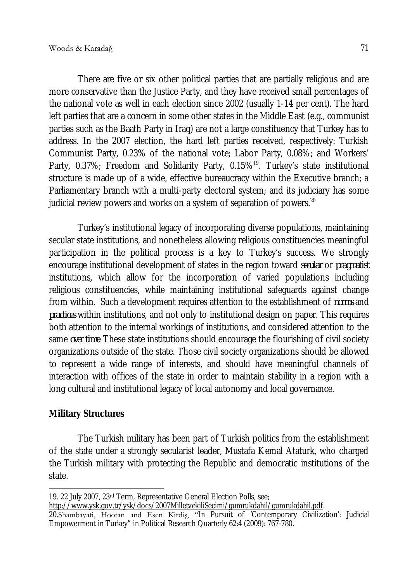There are five or six other political parties that are partially religious and are more conservative than the Justice Party, and they have received small percentages of the national vote as well in each election since 2002 (usually 1-14 per cent). The hard left parties that are a concern in some other states in the Middle East (e.g., communist parties such as the Baath Party in Iraq) are not a large constituency that Turkey has to address. In the 2007 election, the hard left parties received, respectively: Turkish Communist Party, 0.23% of the national vote; Labor Party, 0.08%; and Workers' Party, 0.37%; Freedom and Solidarity Party, 0.15%<sup>19</sup>. Turkey's state institutional structure is made up of a wide, effective bureaucracy within the Executive branch; a Parliamentary branch with a multi-party electoral system; and its judiciary has some judicial review powers and works on a system of separation of powers. $^{\mathsf{20}}$ 

Turkey's institutional legacy of incorporating diverse populations, maintaining secular state institutions, and nonetheless allowing religious constituencies meaningful participation in the political process is a key to Turkey's success. We strongly encourage institutional development of states in the region toward *secular* or *pragmatist* institutions, which allow for the incorporation of varied populations including religious constituencies, while maintaining institutional safeguards against change from within. Such a development requires attention to the establishment of *norms* and *practices* within institutions, and not only to institutional design on paper. This requires both attention to the internal workings of institutions, and considered attention to the same *over time*. These state institutions should encourage the flourishing of civil society organizations outside of the state. Those civil society organizations should be allowed to represent a wide range of interests, and should have meaningful channels of interaction with offices of the state in order to maintain stability in a region with a long cultural and institutional legacy of local autonomy and local governance.

## **Military Structures**

The Turkish military has been part of Turkish politics from the establishment of the state under a strongly secularist leader, Mustafa Kemal Ataturk, who charged the Turkish military with protecting the Republic and democratic institutions of the state.

 $\overline{\phantom{a}}$ 19. 22 July 2007, 23rd Term, Representative General Election Polls, see;

http://www.ysk.gov.tr/ysk/docs/2007MilletvekiliSecimi/gumrukdahil/gumrukdahil.pdf.

<sup>20.</sup>Shambayati, Hootan and Esen Kirdiş, "In Pursuit of 'Contemporary Civilization': Judicial Empowerment in Turkey" in Political Research Quarterly 62:4 (2009): 767-780.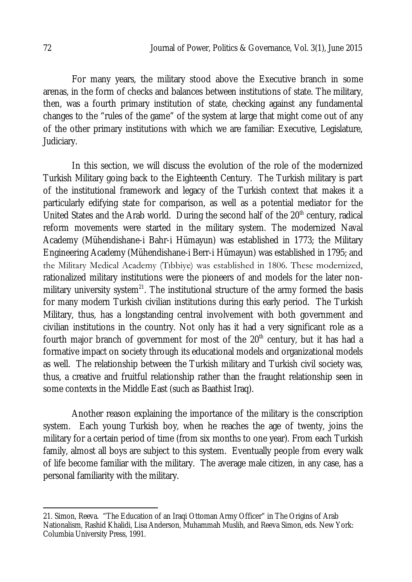For many years, the military stood above the Executive branch in some arenas, in the form of checks and balances between institutions of state. The military, then, was a fourth primary institution of state, checking against any fundamental changes to the "rules of the game" of the system at large that might come out of any of the other primary institutions with which we are familiar: Executive, Legislature, Judiciary.

In this section, we will discuss the evolution of the role of the modernized Turkish Military going back to the Eighteenth Century. The Turkish military is part of the institutional framework and legacy of the Turkish context that makes it a particularly edifying state for comparison, as well as a potential mediator for the United States and the Arab world. During the second half of the 20<sup>th</sup> century, radical reform movements were started in the military system. The modernized Naval Academy (Mühendishane-i Bahr-i Hümayun) was established in 1773; the Military Engineering Academy (Mühendishane-i Berr-i Hümayun) was established in 1795; and the Military Medical Academy (Tıbbiye) was established in 1806. These modernized, rationalized military institutions were the pioneers of and models for the later nonmilitary university system<sup>21</sup>. The institutional structure of the army formed the basis for many modern Turkish civilian institutions during this early period. The Turkish Military, thus, has a longstanding central involvement with both government and civilian institutions in the country. Not only has it had a very significant role as a fourth major branch of government for most of the  $20<sup>th</sup>$  century, but it has had a formative impact on society through its educational models and organizational models as well. The relationship between the Turkish military and Turkish civil society was, thus, a creative and fruitful relationship rather than the fraught relationship seen in some contexts in the Middle East (such as Baathist Iraq).

Another reason explaining the importance of the military is the conscription system. Each young Turkish boy, when he reaches the age of twenty, joins the military for a certain period of time (from six months to one year). From each Turkish family, almost all boys are subject to this system. Eventually people from every walk of life become familiar with the military. The average male citizen, in any case, has a personal familiarity with the military.

 $\overline{\phantom{a}}$ 21. Simon, Reeva. "The Education of an Iraqi Ottoman Army Officer" in The Origins of Arab Nationalism, Rashid Khalidi, Lisa Anderson, Muhammah Muslih, and Reeva Simon, eds. New York: Columbia University Press, 1991.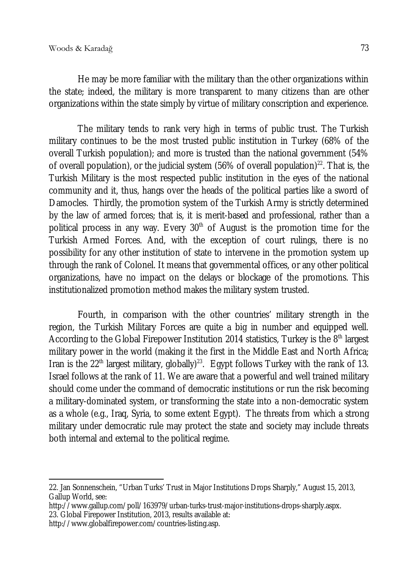He may be more familiar with the military than the other organizations within the state; indeed, the military is more transparent to many citizens than are other organizations within the state simply by virtue of military conscription and experience.

The military tends to rank very high in terms of public trust. The Turkish military continues to be the most trusted public institution in Turkey (68% of the overall Turkish population); and more is trusted than the national government (54% of overall population), or the judicial system (56% of overall population)<sup>22</sup>. That is, the Turkish Military is the most respected public institution in the eyes of the national community and it, thus, hangs over the heads of the political parties like a sword of Damocles. Thirdly, the promotion system of the Turkish Army is strictly determined by the law of armed forces; that is, it is merit-based and professional, rather than a political process in any way. Every 30<sup>th</sup> of August is the promotion time for the Turkish Armed Forces. And, with the exception of court rulings, there is no possibility for any other institution of state to intervene in the promotion system up through the rank of Colonel. It means that governmental offices, or any other political organizations, have no impact on the delays or blockage of the promotions. This institutionalized promotion method makes the military system trusted.

Fourth, in comparison with the other countries' military strength in the region, the Turkish Military Forces are quite a big in number and equipped well. According to the Global Firepower Institution 2014 statistics, Turkey is the 8<sup>th</sup> largest military power in the world (making it the first in the Middle East and North Africa; Iran is the 22<sup>th</sup> largest military, globally)<sup>23</sup>. Egypt follows Turkey with the rank of 13. Israel follows at the rank of 11. We are aware that a powerful and well trained military should come under the command of democratic institutions or run the risk becoming a military-dominated system, or transforming the state into a non-democratic system as a whole (e.g., Iraq, Syria, to some extent Egypt). The threats from which a strong military under democratic rule may protect the state and society may include threats both internal and external to the political regime.

 $\overline{\phantom{a}}$ 22. Jan Sonnenschein, "Urban Turks' Trust in Major Institutions Drops Sharply," August 15, 2013, Gallup World, see:

http://www.gallup.com/poll/163979/urban-turks-trust-major-institutions-drops-sharply.aspx. 23. Global Firepower Institution, 2013, results available at:

http://www.globalfirepower.com/countries-listing.asp.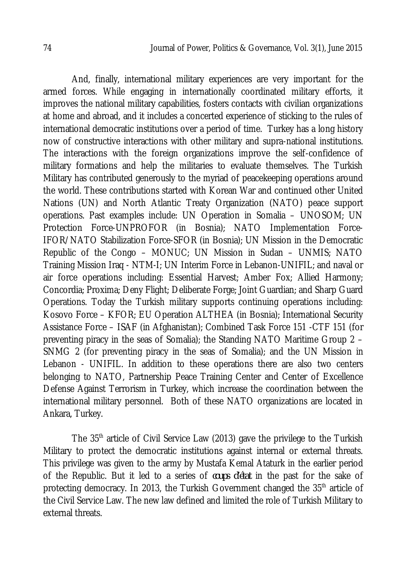And, finally, international military experiences are very important for the armed forces. While engaging in internationally coordinated military efforts, it improves the national military capabilities, fosters contacts with civilian organizations at home and abroad, and it includes a concerted experience of sticking to the rules of international democratic institutions over a period of time. Turkey has a long history now of constructive interactions with other military and supra-national institutions. The interactions with the foreign organizations improve the self-confidence of military formations and help the militaries to evaluate themselves. The Turkish Military has contributed generously to the myriad of peacekeeping operations around the world. These contributions started with Korean War and continued other United Nations (UN) and North Atlantic Treaty Organization (NATO) peace support operations. Past examples include: UN Operation in Somalia – UNOSOM; UN Protection Force-UNPROFOR (in Bosnia); NATO Implementation Force-IFOR/NATO Stabilization Force-SFOR (in Bosnia); UN Mission in the Democratic Republic of the Congo – MONUC; UN Mission in Sudan – UNMIS; NATO Training Mission Iraq - NTM-I; UN Interim Force in Lebanon-UNIFIL; and naval or air force operations including: Essential Harvest; Amber Fox; Allied Harmony; Concordia; Proxima; Deny Flight; Deliberate Forge; Joint Guardian; and Sharp Guard Operations. Today the Turkish military supports continuing operations including: Kosovo Force – KFOR; EU Operation ALTHEA (in Bosnia); International Security Assistance Force – ISAF (in Afghanistan); Combined Task Force 151 -CTF 151 (for preventing piracy in the seas of Somalia); the Standing NATO Maritime Group 2 – SNMG 2 (for preventing piracy in the seas of Somalia); and the UN Mission in Lebanon - UNIFIL. In addition to these operations there are also two centers belonging to NATO, Partnership Peace Training Center and Center of Excellence Defense Against Terrorism in Turkey, which increase the coordination between the international military personnel. Both of these NATO organizations are located in Ankara, Turkey.

The 35<sup>th</sup> article of Civil Service Law (2013) gave the privilege to the Turkish Military to protect the democratic institutions against internal or external threats. This privilege was given to the army by Mustafa Kemal Ataturk in the earlier period of the Republic. But it led to a series of *coups d'état* in the past for the sake of protecting democracy. In 2013, the Turkish Government changed the 35<sup>th</sup> article of the Civil Service Law. The new law defined and limited the role of Turkish Military to external threats.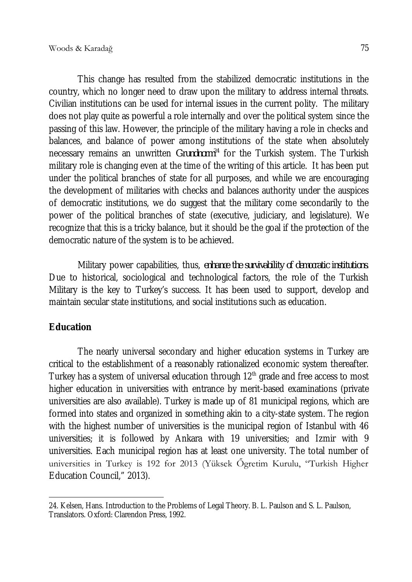This change has resulted from the stabilized democratic institutions in the country, which no longer need to draw upon the military to address internal threats. Civilian institutions can be used for internal issues in the current polity. The military does not play quite as powerful a role internally and over the political system since the passing of this law. However, the principle of the military having a role in checks and balances, and balance of power among institutions of the state when absolutely necessary remains an unwritten *Grundnorm<sup>24</sup>* for the Turkish system. The Turkish military role is changing even at the time of the writing of this article. It has been put under the political branches of state for all purposes, and while we are encouraging the development of militaries with checks and balances authority under the auspices of democratic institutions, we do suggest that the military come secondarily to the power of the political branches of state (executive, judiciary, and legislature). We recognize that this is a tricky balance, but it should be the goal if the protection of the democratic nature of the system is to be achieved.

Military power capabilities, thus, *enhance the survivability of democratic institutions*. Due to historical, sociological and technological factors, the role of the Turkish Military is the key to Turkey's success. It has been used to support, develop and maintain secular state institutions, and social institutions such as education.

## **Education**

The nearly universal secondary and higher education systems in Turkey are critical to the establishment of a reasonably rationalized economic system thereafter. Turkey has a system of universal education through  $12<sup>th</sup>$  grade and free access to most higher education in universities with entrance by merit-based examinations (private universities are also available). Turkey is made up of 81 municipal regions, which are formed into states and organized in something akin to a city-state system. The region with the highest number of universities is the municipal region of Istanbul with 46 universities; it is followed by Ankara with 19 universities; and Izmir with 9 universities. Each municipal region has at least one university. The total number of universities in Turkey is 192 for 2013 (Yüksek Őgretim Kurulu, "Turkish Higher Education Council," 2013).

 $\overline{\phantom{a}}$ 24. Kelsen, Hans. Introduction to the Problems of Legal Theory. B. L. Paulson and S. L. Paulson, Translators. Oxford: Clarendon Press, 1992.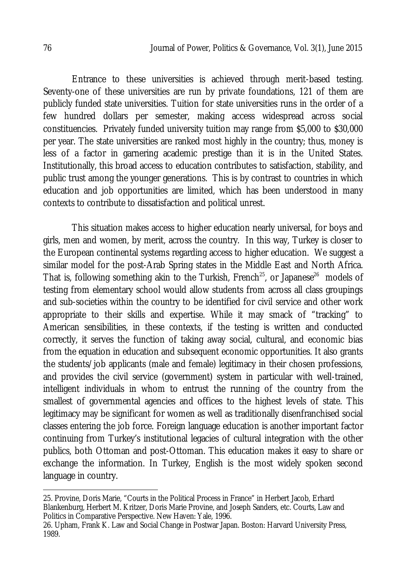Entrance to these universities is achieved through merit-based testing. Seventy-one of these universities are run by private foundations, 121 of them are publicly funded state universities. Tuition for state universities runs in the order of a few hundred dollars per semester, making access widespread across social constituencies. Privately funded university tuition may range from \$5,000 to \$30,000 per year. The state universities are ranked most highly in the country; thus, money is less of a factor in garnering academic prestige than it is in the United States. Institutionally, this broad access to education contributes to satisfaction, stability, and public trust among the younger generations. This is by contrast to countries in which education and job opportunities are limited, which has been understood in many contexts to contribute to dissatisfaction and political unrest.

This situation makes access to higher education nearly universal, for boys and girls, men and women, by merit, across the country. In this way, Turkey is closer to the European continental systems regarding access to higher education. We suggest a similar model for the post-Arab Spring states in the Middle East and North Africa. That is, following something akin to the Turkish, French<sup>25</sup>, or Japanese<sup>26</sup> models of testing from elementary school would allow students from across all class groupings and sub-societies within the country to be identified for civil service and other work appropriate to their skills and expertise. While it may smack of "tracking" to American sensibilities, in these contexts, if the testing is written and conducted correctly, it serves the function of taking away social, cultural, and economic bias from the equation in education and subsequent economic opportunities. It also grants the students/job applicants (male and female) legitimacy in their chosen professions, and provides the civil service (government) system in particular with well-trained, intelligent individuals in whom to entrust the running of the country from the smallest of governmental agencies and offices to the highest levels of state. This legitimacy may be significant for women as well as traditionally disenfranchised social classes entering the job force. Foreign language education is another important factor continuing from Turkey's institutional legacies of cultural integration with the other publics, both Ottoman and post-Ottoman. This education makes it easy to share or exchange the information. In Turkey, English is the most widely spoken second language in country.

 $\overline{a}$ 

<sup>25.</sup> Provine, Doris Marie, "Courts in the Political Process in France" in Herbert Jacob, Erhard Blankenburg, Herbert M. Kritzer, Doris Marie Provine, and Joseph Sanders, etc. Courts, Law and Politics in Comparative Perspective. New Haven: Yale, 1996.

<sup>26.</sup> Upham, Frank K. Law and Social Change in Postwar Japan. Boston: Harvard University Press, 1989.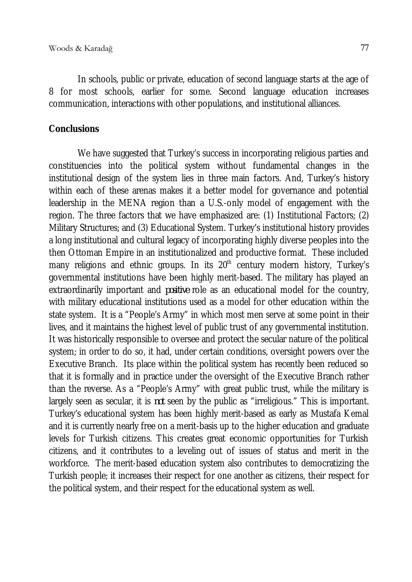In schools, public or private, education of second language starts at the age of 8 for most schools, earlier for some. Second language education increases communication, interactions with other populations, and institutional alliances.

#### **Conclusions**

We have suggested that Turkey's success in incorporating religious parties and constituencies into the political system without fundamental changes in the institutional design of the system lies in three main factors. And, Turkey's history within each of these arenas makes it a better model for governance and potential leadership in the MENA region than a U.S.-only model of engagement with the region. The three factors that we have emphasized are: (1) Institutional Factors; (2) Military Structures; and (3) Educational System. Turkey's institutional history provides a long institutional and cultural legacy of incorporating highly diverse peoples into the then Ottoman Empire in an institutionalized and productive format. These included many religions and ethnic groups. In its  $20<sup>th</sup>$  century modern history, Turkey's governmental institutions have been highly merit-based. The military has played an extraordinarily important and *positive* role as an educational model for the country, with military educational institutions used as a model for other education within the state system. It is a "People's Army" in which most men serve at some point in their lives, and it maintains the highest level of public trust of any governmental institution. It was historically responsible to oversee and protect the secular nature of the political system; in order to do so, it had, under certain conditions, oversight powers over the Executive Branch. Its place within the political system has recently been reduced so that it is formally and in practice under the oversight of the Executive Branch rather than the reverse. As a "People's Army" with great public trust, while the military is largely seen as secular, it is *not* seen by the public as "irreligious." This is important. Turkey's educational system has been highly merit-based as early as Mustafa Kemal and it is currently nearly free on a merit-basis up to the higher education and graduate levels for Turkish citizens. This creates great economic opportunities for Turkish citizens, and it contributes to a leveling out of issues of status and merit in the workforce. The merit-based education system also contributes to democratizing the Turkish people; it increases their respect for one another as citizens, their respect for the political system, and their respect for the educational system as well.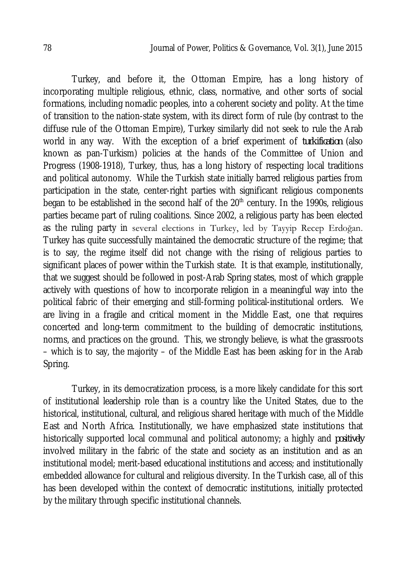Turkey, and before it, the Ottoman Empire, has a long history of incorporating multiple religious, ethnic, class, normative, and other sorts of social formations, including nomadic peoples, into a coherent society and polity. At the time of transition to the nation-state system, with its direct form of rule (by contrast to the diffuse rule of the Ottoman Empire), Turkey similarly did not seek to rule the Arab world in any way. With the exception of a brief experiment of *turkification* (also known as pan-Turkism) policies at the hands of the Committee of Union and Progress (1908-1918), Turkey, thus, has a long history of respecting local traditions and political autonomy. While the Turkish state initially barred religious parties from participation in the state, center-right parties with significant religious components began to be established in the second half of the  $20<sup>th</sup>$  century. In the 1990s, religious parties became part of ruling coalitions. Since 2002, a religious party has been elected as the ruling party in several elections in Turkey, led by Tayyip Recep Erdoğan. Turkey has quite successfully maintained the democratic structure of the regime; that is to say, the regime itself did not change with the rising of religious parties to significant places of power within the Turkish state. It is that example, institutionally, that we suggest should be followed in post-Arab Spring states, most of which grapple actively with questions of how to incorporate religion in a meaningful way into the political fabric of their emerging and still-forming political-institutional orders. We are living in a fragile and critical moment in the Middle East, one that requires concerted and long-term commitment to the building of democratic institutions, norms, and practices on the ground. This, we strongly believe, is what the grassroots – which is to say, the majority – of the Middle East has been asking for in the Arab Spring.

Turkey, in its democratization process, is a more likely candidate for this sort of institutional leadership role than is a country like the United States, due to the historical, institutional, cultural, and religious shared heritage with much of the Middle East and North Africa. Institutionally, we have emphasized state institutions that historically supported local communal and political autonomy; a highly and *positively* involved military in the fabric of the state and society as an institution and as an institutional model; merit-based educational institutions and access; and institutionally embedded allowance for cultural and religious diversity. In the Turkish case, all of this has been developed within the context of democratic institutions, initially protected by the military through specific institutional channels.